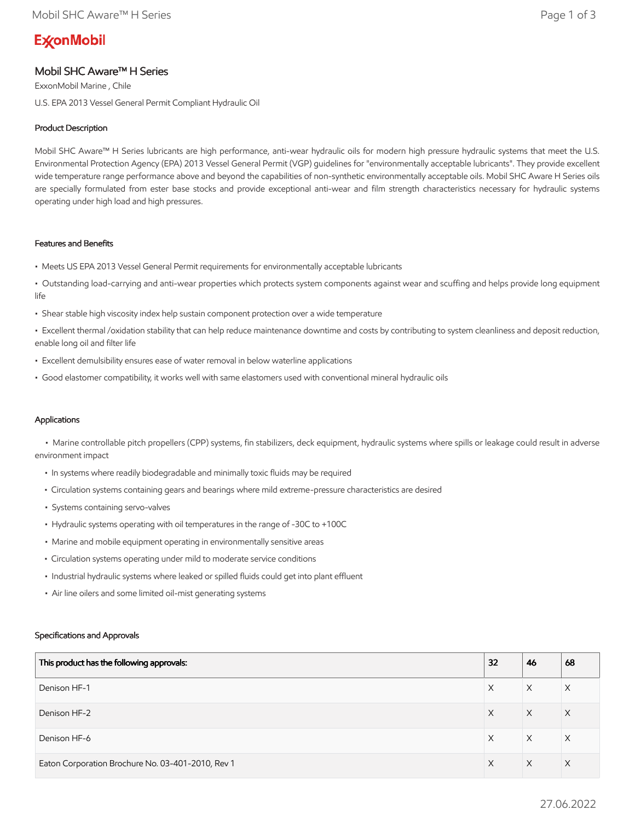# **ExconMobil**

# Mobil SHC Aware™ H Series

ExxonMobil Marine , Chile U.S. EPA 2013 Vessel General Permit Compliant Hydraulic Oil

# Product Description

Mobil SHC Aware™ H Series lubricants are high performance, anti-wear hydraulic oils for modern high pressure hydraulic systems that meet the U.S. Environmental Protection Agency (EPA) 2013 Vessel General Permit (VGP) guidelines for "environmentally acceptable lubricants". They provide excellent wide temperature range performance above and beyond the capabilities of non-synthetic environmentally acceptable oils. Mobil SHC Aware H Series oils are specially formulated from ester base stocks and provide exceptional anti-wear and film strength characteristics necessary for hydraulic systems operating under high load and high pressures.

# Features and Benefits

- Meets US EPA 2013 Vessel General Permit requirements for environmentally acceptable lubricants
- Outstanding load-carrying and anti-wear properties which protects system components against wear and scuffing and helps provide long equipment life
- Shear stable high viscosity index help sustain component protection over a wide temperature
- Excellent thermal /oxidation stability that can help reduce maintenance downtime and costs by contributing to system cleanliness and deposit reduction, enable long oil and filter life
- Excellent demulsibility ensures ease of water removal in below waterline applications
- Good elastomer compatibility, it works well with same elastomers used with conventional mineral hydraulic oils

# Applications

 • Marine controllable pitch propellers (CPP) systems, fin stabilizers, deck equipment, hydraulic systems where spills or leakage could result in adverse environment impact

- In systems where readily biodegradable and minimally toxic fluids may be required
- Circulation systems containing gears and bearings where mild extreme-pressure characteristics are desired
- Systems containing servo-valves
- Hydraulic systems operating with oil temperatures in the range of -30C to +100C
- Marine and mobile equipment operating in environmentally sensitive areas
- Circulation systems operating under mild to moderate service conditions
- Industrial hydraulic systems where leaked or spilled fluids could get into plant effluent
- Air line oilers and some limited oil-mist generating systems

## Specifications and Approvals

| This product has the following approvals:         | 32 | 46 | 68       |
|---------------------------------------------------|----|----|----------|
| Denison HF-1                                      | X  | X  | Χ        |
| Denison HF-2                                      | X  | X  | $\times$ |
| Denison HF-6                                      | X  | X  | X        |
| Eaton Corporation Brochure No. 03-401-2010, Rev 1 | X  | X  | $\times$ |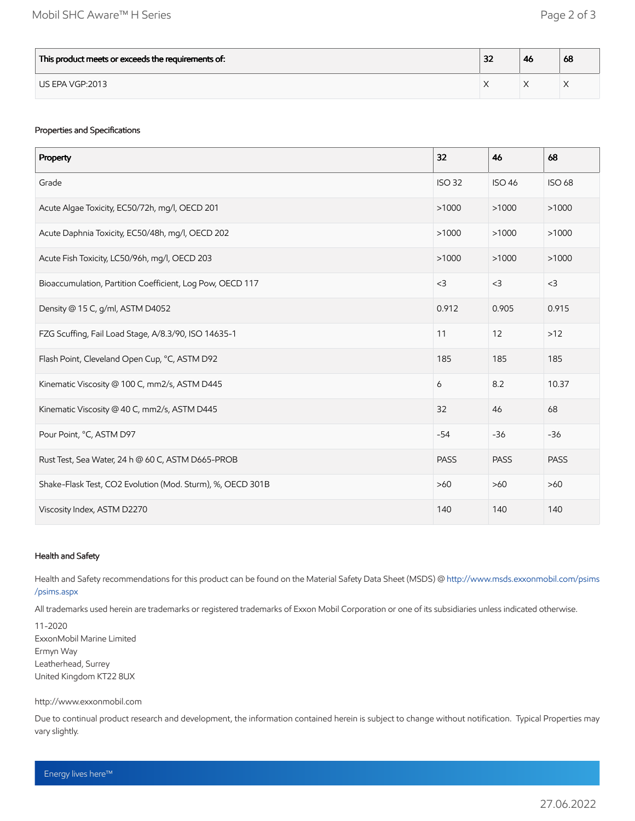| This product meets or exceeds the requirements of: | $\sim$<br>ж | -46 | 68 |
|----------------------------------------------------|-------------|-----|----|
| US EPA VGP:2013                                    |             |     |    |

## Properties and Specifications

| Property                                                   | 32            | 46            | 68            |
|------------------------------------------------------------|---------------|---------------|---------------|
| Grade                                                      | <b>ISO 32</b> | <b>ISO 46</b> | <b>ISO 68</b> |
| Acute Algae Toxicity, EC50/72h, mg/l, OECD 201             | >1000         | >1000         | >1000         |
| Acute Daphnia Toxicity, EC50/48h, mg/l, OECD 202           | >1000         | >1000         | >1000         |
| Acute Fish Toxicity, LC50/96h, mg/l, OECD 203              | >1000         | >1000         | >1000         |
| Bioaccumulation, Partition Coefficient, Log Pow, OECD 117  | $<$ 3         | $<$ 3         | $<$ 3         |
| Density @ 15 C, g/ml, ASTM D4052                           | 0.912         | 0.905         | 0.915         |
| FZG Scuffing, Fail Load Stage, A/8.3/90, ISO 14635-1       | 11            | 12            | $>12$         |
| Flash Point, Cleveland Open Cup, °C, ASTM D92              | 185           | 185           | 185           |
| Kinematic Viscosity @ 100 C, mm2/s, ASTM D445              | 6             | 8.2           | 10.37         |
| Kinematic Viscosity @ 40 C, mm2/s, ASTM D445               | 32            | 46            | 68            |
| Pour Point, °C, ASTM D97                                   | $-54$         | $-36$         | $-36$         |
| Rust Test, Sea Water, 24 h @ 60 C, ASTM D665-PROB          | <b>PASS</b>   | <b>PASS</b>   | <b>PASS</b>   |
| Shake-Flask Test, CO2 Evolution (Mod. Sturm), %, OECD 301B | $>60$         | $>60$         | $>60$         |
| Viscosity Index, ASTM D2270                                | 140           | 140           | 140           |

## Health and Safety

Health and Safety recommendations for this product can be found on the Material Safety Data Sheet (MSDS) @ [http://www.msds.exxonmobil.com/psims](http://www.msds.exxonmobil.com/psims/psims.aspx) /psims.aspx

All trademarks used herein are trademarks or registered trademarks of Exxon Mobil Corporation or one of its subsidiaries unless indicated otherwise.

11-2020 ExxonMobil Marine Limited Ermyn Way Leatherhead, Surrey United Kingdom KT22 8UX

#### http://www.exxonmobil.com

Due to continual product research and development, the information contained herein is subject to change without notification. Typical Properties may vary slightly.